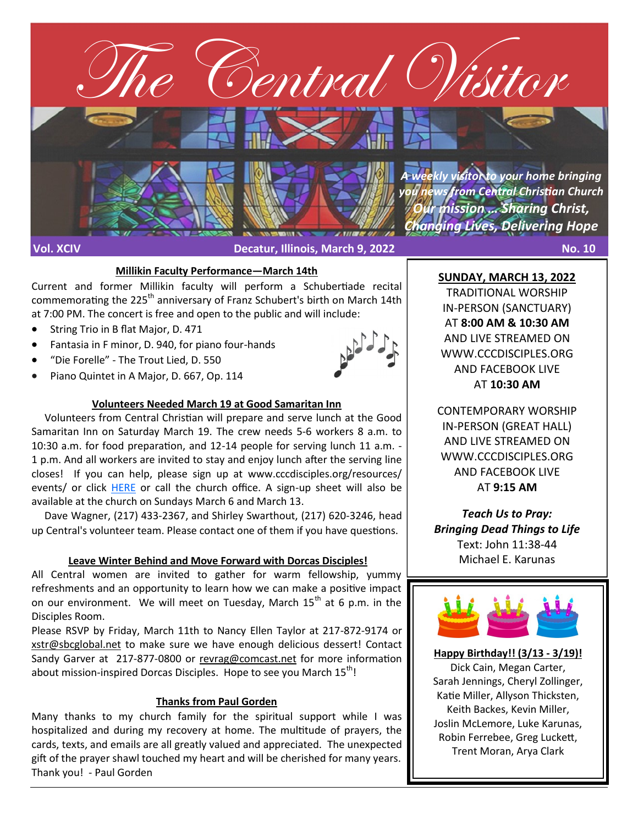

#### **Millikin Faculty Performance—March 14th**

Current and former Millikin faculty will perform a Schubertiade recital commemorating the 225<sup>th</sup> anniversary of Franz Schubert's birth on March 14th at 7:00 PM. The concert is free and open to the public and will include:

- String Trio in B flat Major, D. 471
- Fantasia in F minor, D. 940, for piano four-hands
- "Die Forelle" The Trout Lied, D. 550
- Piano Quintet in A Major, D. 667, Op. 114



#### **Volunteers Needed March 19 at Good Samaritan Inn**

 Volunteers from Central Christian will prepare and serve lunch at the Good Samaritan Inn on Saturday March 19. The crew needs 5-6 workers 8 a.m. to 10:30 a.m. for food preparation, and 12-14 people for serving lunch 11 a.m. - 1 p.m. And all workers are invited to stay and enjoy lunch after the serving line closes! If you can help, please sign up at www.cccdisciples.org/resources/ events/ or click [HERE](https://cccdisciples.shelbynextchms.com/external/form/38e9100d-10b1-486f-9f99-11ac163a87a2) or call the church office. A sign-up sheet will also be available at the church on Sundays March 6 and March 13.

 Dave Wagner, (217) 433-2367, and Shirley Swarthout, (217) 620-3246, head up Central's volunteer team. Please contact one of them if you have questions.

#### **Leave Winter Behind and Move Forward with Dorcas Disciples!**

All Central women are invited to gather for warm fellowship, yummy refreshments and an opportunity to learn how we can make a positive impact on our environment. We will meet on Tuesday, March  $15<sup>th</sup>$  at 6 p.m. in the Disciples Room.

Please RSVP by Friday, March 11th to Nancy Ellen Taylor at 217-872-9174 or [xstr@sbcglobal.net](mailto:xstr@sbcglobal.net) to make sure we have enough delicious dessert! Contact Sandy Garver at 217-877-[0800 or revrag@comcast.net](mailto:217-877-0800%20or%20revrag@comcast.net) for more information about mission-inspired Dorcas Disciples. Hope to see you March  $15<sup>th</sup>$ !

#### **Thanks from Paul Gorden**

Many thanks to my church family for the spiritual support while I was hospitalized and during my recovery at home. The multitude of prayers, the cards, texts, and emails are all greatly valued and appreciated. The unexpected gift of the prayer shawl touched my heart and will be cherished for many years. Thank you! - Paul Gorden

**SUNDAY, MARCH 13, 2022**

TRADITIONAL WORSHIP IN-PERSON (SANCTUARY) AT **8:00 AM & 10:30 AM**  AND LIVE STREAMED ON WWW.CCCDISCIPLES.ORG AND FACEBOOK LIVE AT **10:30 AM**

CONTEMPORARY WORSHIP IN-PERSON (GREAT HALL) AND LIVE STREAMED ON WWW.CCCDISCIPLES.ORG AND FACEBOOK LIVE AT **9:15 AM**

*Teach Us to Pray: Bringing Dead Things to Life* Text: John 11:38-44 Michael E. Karunas



**Happy Birthday!! (3/13 - 3/19)!** Dick Cain, Megan Carter, Sarah Jennings, Cheryl Zollinger, Katie Miller, Allyson Thicksten, Keith Backes, Kevin Miller, Joslin McLemore, Luke Karunas, Robin Ferrebee, Greg Luckett, Trent Moran, Arya Clark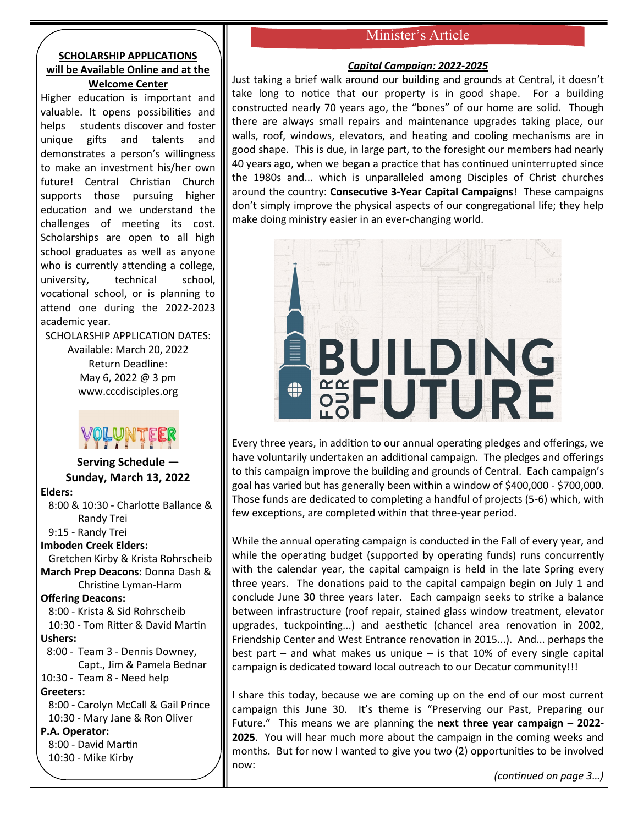# Minister's Article

## **SCHOLARSHIP APPLICATIONS will be Available Online and at the Welcome Center**

Higher education is important and valuable. It opens possibilities and helps students discover and foster unique gifts and talents and demonstrates a person's willingness to make an investment his/her own future! Central Christian Church supports those pursuing higher education and we understand the challenges of meeting its cost. Scholarships are open to all high school graduates as well as anyone who is currently attending a college, university, technical school, vocational school, or is planning to attend one during the 2022-2023 academic year.

SCHOLARSHIP APPLICATION DATES:

Available: March 20, 2022 Return Deadline: May 6, 2022 @ 3 pm www.cccdisciples.org

**Serving Schedule — Sunday, March 13, 2022 Elders:** 8:00 & 10:30 - Charlotte Ballance & Randy Trei 9:15 - Randy Trei **Imboden Creek Elders:** Gretchen Kirby & Krista Rohrscheib **March Prep Deacons:** Donna Dash & Christine Lyman-Harm **Offering Deacons:** 8:00 - Krista & Sid Rohrscheib 10:30 - Tom Ritter & David Martin **Ushers:** 8:00 - Team 3 - Dennis Downey, Capt., Jim & Pamela Bednar 10:30 - Team 8 - Need help **Greeters:** 8:00 - Carolyn McCall & Gail Prince 10:30 - Mary Jane & Ron Oliver **P.A. Operator:** 8:00 - David Martin 10:30 - Mike Kirby

#### *Capital Campaign: 2022-2025*

Just taking a brief walk around our building and grounds at Central, it doesn't take long to notice that our property is in good shape. For a building constructed nearly 70 years ago, the "bones" of our home are solid. Though there are always small repairs and maintenance upgrades taking place, our walls, roof, windows, elevators, and heating and cooling mechanisms are in good shape. This is due, in large part, to the foresight our members had nearly 40 years ago, when we began a practice that has continued uninterrupted since the 1980s and... which is unparalleled among Disciples of Christ churches around the country: **Consecutive 3-Year Capital Campaigns**! These campaigns don't simply improve the physical aspects of our congregational life; they help make doing ministry easier in an ever-changing world.



Every three years, in addition to our annual operating pledges and offerings, we have voluntarily undertaken an additional campaign. The pledges and offerings to this campaign improve the building and grounds of Central. Each campaign's goal has varied but has generally been within a window of \$400,000 - \$700,000. Those funds are dedicated to completing a handful of projects (5-6) which, with few exceptions, are completed within that three-year period.

While the annual operating campaign is conducted in the Fall of every year, and while the operating budget (supported by operating funds) runs concurrently with the calendar year, the capital campaign is held in the late Spring every three years. The donations paid to the capital campaign begin on July 1 and conclude June 30 three years later. Each campaign seeks to strike a balance between infrastructure (roof repair, stained glass window treatment, elevator upgrades, tuckpointing...) and aesthetic (chancel area renovation in 2002, Friendship Center and West Entrance renovation in 2015...). And... perhaps the best part – and what makes us unique – is that 10% of every single capital campaign is dedicated toward local outreach to our Decatur community!!!

I share this today, because we are coming up on the end of our most current campaign this June 30. It's theme is "Preserving our Past, Preparing our Future." This means we are planning the **next three year campaign – 2022- 2025**. You will hear much more about the campaign in the coming weeks and months. But for now I wanted to give you two (2) opportunities to be involved now:

*(continued on page 3…)*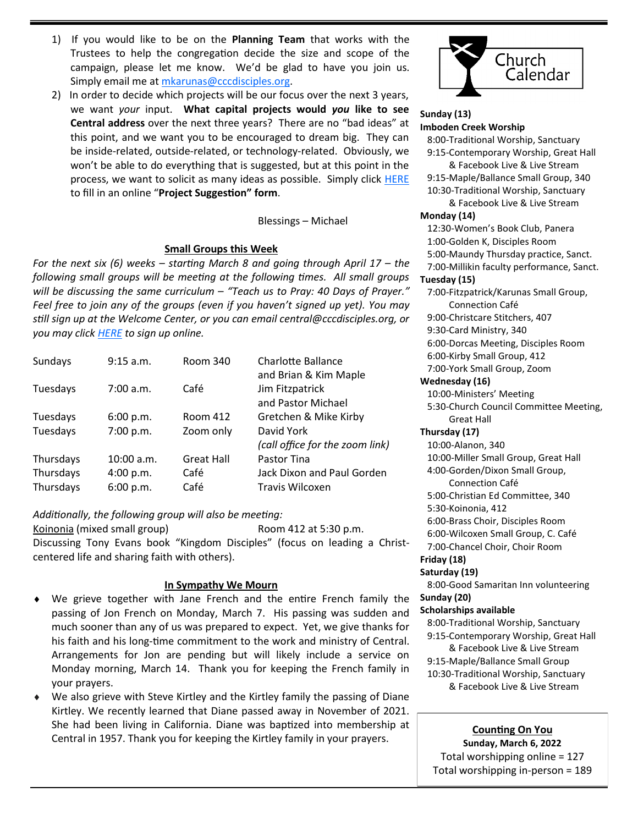- 1) If you would like to be on the **Planning Team** that works with the Trustees to help the congregation decide the size and scope of the campaign, please let me know. We'd be glad to have you join us. Simply email me at [mkarunas@cccdisciples.org.](mailto:mkarunas@cccdisciples.org)
- 2) In order to decide which projects will be our focus over the next 3 years, we want *your* input. **What capital projects would** *you* **like to see Central address** over the next three years? There are no "bad ideas" at this point, and we want you to be encouraged to dream big. They can be inside-related, outside-related, or technology-related. Obviously, we won't be able to do everything that is suggested, but at this point in the process, we want to solicit as many ideas as possible. Simply click [HERE](https://cccdisciples.shelbynextchms.com/external/form/4943667f-f7a4-4671-ae4a-0ffde1ca0716) to fill in an online "**Project Suggestion" form**.

#### Blessings – Michael

#### **Small Groups this Week**

*For the next six (6) weeks – starting March 8 and going through April 17 – the following small groups will be meeting at the following times. All small groups will be discussing the same curriculum – "Teach us to Pray: 40 Days of Prayer." Feel free to join any of the groups (even if you haven't signed up yet). You may still sign up at the Welcome Center, or you can email central@cccdisciples.org, or you may click [HERE](https://cccdisciples.shelbynextchms.com/external/form/df15e8c1-5448-47e5-a185-f4aef9f7f43b) to sign up online.*

| Sundays   | 9:15 a.m.  | Room 340          | <b>Charlotte Ballance</b><br>and Brian & Kim Maple |
|-----------|------------|-------------------|----------------------------------------------------|
| Tuesdays  | 7:00 a.m.  | Café              | Jim Fitzpatrick<br>and Pastor Michael              |
| Tuesdays  | 6:00 p.m.  | Room 412          | Gretchen & Mike Kirby                              |
| Tuesdays  | 7:00 p.m.  | Zoom only         | David York<br>(call office for the zoom link)      |
| Thursdays | 10:00 a.m. | <b>Great Hall</b> | Pastor Tina                                        |
| Thursdays | 4:00 p.m.  | Café              | Jack Dixon and Paul Gorden                         |
| Thursdays | 6:00 p.m.  | Café              | Travis Wilcoxen                                    |

#### *Additionally, the following group will also be meeting:*

Koinonia (mixed small group) Room 412 at 5:30 p.m. Discussing Tony Evans book "Kingdom Disciples" (focus on leading a Christcentered life and sharing faith with others).

#### **In Sympathy We Mourn**

- We grieve together with Jane French and the entire French family the passing of Jon French on Monday, March 7. His passing was sudden and much sooner than any of us was prepared to expect. Yet, we give thanks for his faith and his long-time commitment to the work and ministry of Central. Arrangements for Jon are pending but will likely include a service on Monday morning, March 14. Thank you for keeping the French family in your prayers.
- We also grieve with Steve Kirtley and the Kirtley family the passing of Diane Kirtley. We recently learned that Diane passed away in November of 2021. She had been living in California. Diane was baptized into membership at Central in 1957. Thank you for keeping the Kirtley family in your prayers.



#### **Sunday (13) Imboden Creek Worship**

 8:00-Traditional Worship, Sanctuary 9:15-Contemporary Worship, Great Hall

 & Facebook Live & Live Stream 9:15-Maple/Ballance Small Group, 340 10:30-Traditional Worship, Sanctuary

 & Facebook Live & Live Stream **Monday (14)**

 12:30-Women's Book Club, Panera 1:00-Golden K, Disciples Room 5:00-Maundy Thursday practice, Sanct. 7:00-Millikin faculty performance, Sanct.

## **Tuesday (15)**

 7:00-Fitzpatrick/Karunas Small Group, Connection Café

9:00-Christcare Stitchers, 407

9:30-Card Ministry, 340

6:00-Dorcas Meeting, Disciples Room

6:00-Kirby Small Group, 412

7:00-York Small Group, Zoom

#### **Wednesday (16)**

 10:00-Ministers' Meeting 5:30-Church Council Committee Meeting, Great Hall

#### **Thursday (17)**

 10:00-Alanon, 340 10:00-Miller Small Group, Great Hall 4:00-Gorden/Dixon Small Group, Connection Café 5:00-Christian Ed Committee, 340 5:30-Koinonia, 412 6:00-Brass Choir, Disciples Room 6:00-Wilcoxen Small Group, C. Café 7:00-Chancel Choir, Choir Room **Friday (18) Saturday (19)**

8:00-Good Samaritan Inn volunteering

# **Sunday (20)**

**Scholarships available**

 8:00-Traditional Worship, Sanctuary 9:15-Contemporary Worship, Great Hall

 & Facebook Live & Live Stream 9:15-Maple/Ballance Small Group 10:30-Traditional Worship, Sanctuary & Facebook Live & Live Stream

# **Counting On You**

**Sunday, March 6, 2022** Total worshipping online = 127 Total worshipping in-person = 189